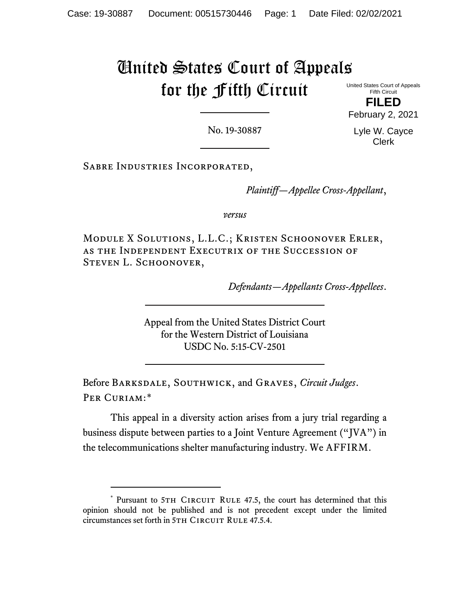# United States Court of Appeals for the Fifth Circuit

United States Court of Appeals Fifth Circuit

**FILED** February 2, 2021

No. 19-30887

Lyle W. Cayce Clerk

Sabre Industries Incorporated,

*Plaintiff—Appellee Cross-Appellant*,

*versus*

Module X Solutions, L.L.C.; Kristen Schoonover Erler, as the Independent Executrix of the Succession of STEVEN L. SCHOONOVER,

*Defendants—Appellants Cross-Appellees*.

Appeal from the United States District Court for the Western District of Louisiana USDC No. 5:15-CV-2501

Before Barksdale, Southwick, and Graves, *Circuit Judges*. PER CURIAM:[\\*](#page-0-0)

This appeal in a diversity action arises from a jury trial regarding a business dispute between parties to a Joint Venture Agreement ("JVA") in the telecommunications shelter manufacturing industry. We AFFIRM.

<span id="page-0-0"></span><sup>\*</sup> Pursuant to 5TH CIRCUIT RULE 47.5, the court has determined that this opinion should not be published and is not precedent except under the limited circumstances set forth in 5TH CIRCUIT RULE 47.5.4.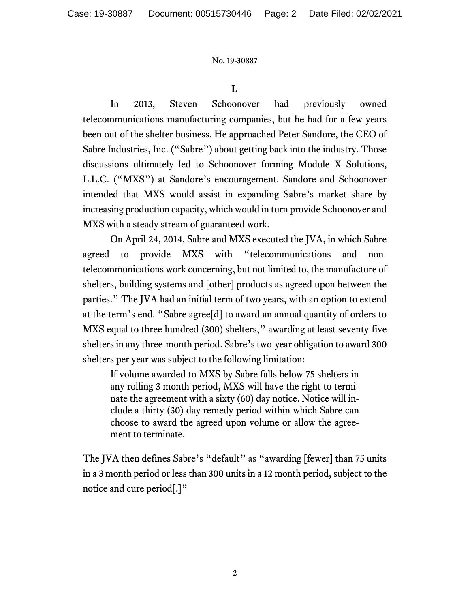**I.**

In 2013, Steven Schoonover had previously owned telecommunications manufacturing companies, but he had for a few years been out of the shelter business. He approached Peter Sandore, the CEO of Sabre Industries, Inc. ("Sabre") about getting back into the industry. Those discussions ultimately led to Schoonover forming Module X Solutions, L.L.C. ("MXS") at Sandore's encouragement. Sandore and Schoonover intended that MXS would assist in expanding Sabre's market share by increasing production capacity, which would in turn provide Schoonover and MXS with a steady stream of guaranteed work.

On April 24, 2014, Sabre and MXS executed the JVA, in which Sabre agreed to provide MXS with "telecommunications and nontelecommunications work concerning, but not limited to, the manufacture of shelters, building systems and [other] products as agreed upon between the parties." The JVA had an initial term of two years, with an option to extend at the term's end. "Sabre agree[d] to award an annual quantity of orders to MXS equal to three hundred (300) shelters," awarding at least seventy-five shelters in any three-month period. Sabre's two-year obligation to award 300 shelters per year was subject to the following limitation:

If volume awarded to MXS by Sabre falls below 75 shelters in any rolling 3 month period, MXS will have the right to terminate the agreement with a sixty (60) day notice. Notice will include a thirty (30) day remedy period within which Sabre can choose to award the agreed upon volume or allow the agreement to terminate.

The JVA then defines Sabre's "default" as "awarding [fewer] than 75 units in a 3 month period or less than 300 units in a 12 month period, subject to the notice and cure period[.]"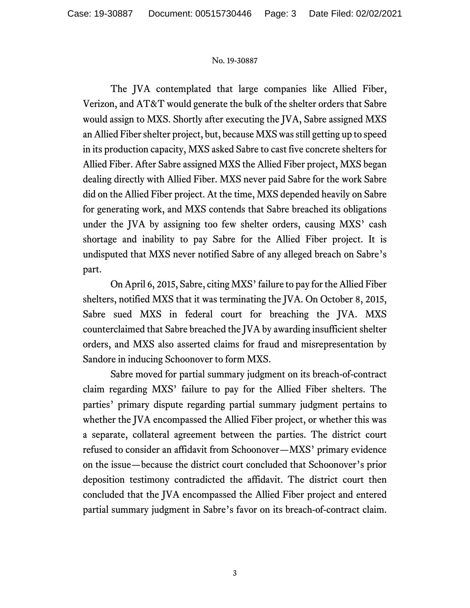The JVA contemplated that large companies like Allied Fiber, Verizon, and AT&T would generate the bulk of the shelter orders that Sabre would assign to MXS. Shortly after executing the JVA, Sabre assigned MXS an Allied Fiber shelter project, but, because MXS was still getting up to speed in its production capacity, MXS asked Sabre to cast five concrete shelters for Allied Fiber. After Sabre assigned MXS the Allied Fiber project, MXS began dealing directly with Allied Fiber. MXS never paid Sabre for the work Sabre did on the Allied Fiber project. At the time, MXS depended heavily on Sabre for generating work, and MXS contends that Sabre breached its obligations under the JVA by assigning too few shelter orders, causing MXS' cash shortage and inability to pay Sabre for the Allied Fiber project. It is undisputed that MXS never notified Sabre of any alleged breach on Sabre's part.

On April 6, 2015, Sabre, citing MXS' failure to pay for the Allied Fiber shelters, notified MXS that it was terminating the JVA. On October 8, 2015, Sabre sued MXS in federal court for breaching the JVA. MXS counterclaimed that Sabre breached the JVA by awarding insufficient shelter orders, and MXS also asserted claims for fraud and misrepresentation by Sandore in inducing Schoonover to form MXS.

Sabre moved for partial summary judgment on its breach-of-contract claim regarding MXS' failure to pay for the Allied Fiber shelters. The parties' primary dispute regarding partial summary judgment pertains to whether the JVA encompassed the Allied Fiber project, or whether this was a separate, collateral agreement between the parties. The district court refused to consider an affidavit from Schoonover—MXS' primary evidence on the issue—because the district court concluded that Schoonover's prior deposition testimony contradicted the affidavit. The district court then concluded that the JVA encompassed the Allied Fiber project and entered partial summary judgment in Sabre's favor on its breach-of-contract claim.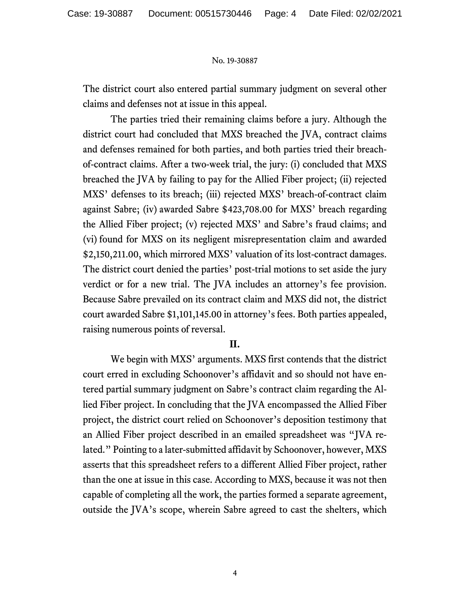The district court also entered partial summary judgment on several other claims and defenses not at issue in this appeal.

The parties tried their remaining claims before a jury. Although the district court had concluded that MXS breached the JVA, contract claims and defenses remained for both parties, and both parties tried their breachof-contract claims. After a two-week trial, the jury: (i) concluded that MXS breached the JVA by failing to pay for the Allied Fiber project; (ii) rejected MXS' defenses to its breach; (iii) rejected MXS' breach-of-contract claim against Sabre; (iv) awarded Sabre \$423,708.00 for MXS' breach regarding the Allied Fiber project; (v) rejected MXS' and Sabre's fraud claims; and (vi) found for MXS on its negligent misrepresentation claim and awarded \$2,150,211.00, which mirrored MXS' valuation of its lost-contract damages. The district court denied the parties' post-trial motions to set aside the jury verdict or for a new trial. The JVA includes an attorney's fee provision. Because Sabre prevailed on its contract claim and MXS did not, the district court awarded Sabre \$1,101,145.00 in attorney's fees. Both parties appealed, raising numerous points of reversal.

## **II.**

We begin with MXS' arguments. MXS first contends that the district court erred in excluding Schoonover's affidavit and so should not have entered partial summary judgment on Sabre's contract claim regarding the Allied Fiber project. In concluding that the JVA encompassed the Allied Fiber project, the district court relied on Schoonover's deposition testimony that an Allied Fiber project described in an emailed spreadsheet was "JVA related." Pointing to a later-submitted affidavit by Schoonover, however, MXS asserts that this spreadsheet refers to a different Allied Fiber project, rather than the one at issue in this case. According to MXS, because it was not then capable of completing all the work, the parties formed a separate agreement, outside the JVA's scope, wherein Sabre agreed to cast the shelters, which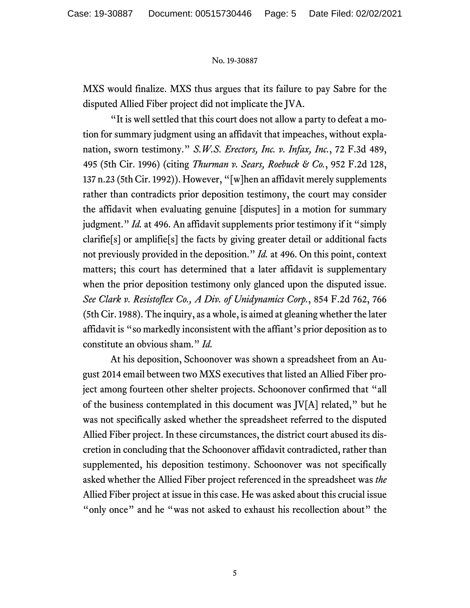MXS would finalize. MXS thus argues that its failure to pay Sabre for the disputed Allied Fiber project did not implicate the JVA.

"It is well settled that this court does not allow a party to defeat a motion for summary judgment using an affidavit that impeaches, without explanation, sworn testimony." *S.W.S. Erectors, Inc. v. Infax, Inc.*, 72 F.3d 489, 495 (5th Cir. 1996) (citing *Thurman v. Sears, Roebuck & Co.*, 952 F.2d 128, 137 n.23 (5th Cir. 1992)). However, "[w]hen an affidavit merely supplements rather than contradicts prior deposition testimony, the court may consider the affidavit when evaluating genuine [disputes] in a motion for summary judgment." *Id.* at 496. An affidavit supplements prior testimony if it "simply clarifie[s] or amplifie[s] the facts by giving greater detail or additional facts not previously provided in the deposition." *Id.* at 496. On this point, context matters; this court has determined that a later affidavit is supplementary when the prior deposition testimony only glanced upon the disputed issue. *See Clark v. Resistoflex Co., A Div. of Unidynamics Corp.*, 854 F.2d 762, 766 (5th Cir. 1988). The inquiry, as a whole, is aimed at gleaning whether the later affidavit is "so markedly inconsistent with the affiant's prior deposition as to constitute an obvious sham." *Id.*

At his deposition, Schoonover was shown a spreadsheet from an August 2014 email between two MXS executives that listed an Allied Fiber project among fourteen other shelter projects. Schoonover confirmed that "all of the business contemplated in this document was JV[A] related," but he was not specifically asked whether the spreadsheet referred to the disputed Allied Fiber project. In these circumstances, the district court abused its discretion in concluding that the Schoonover affidavit contradicted, rather than supplemented, his deposition testimony. Schoonover was not specifically asked whether the Allied Fiber project referenced in the spreadsheet was *the* Allied Fiber project at issue in this case. He was asked about this crucial issue "only once" and he "was not asked to exhaust his recollection about" the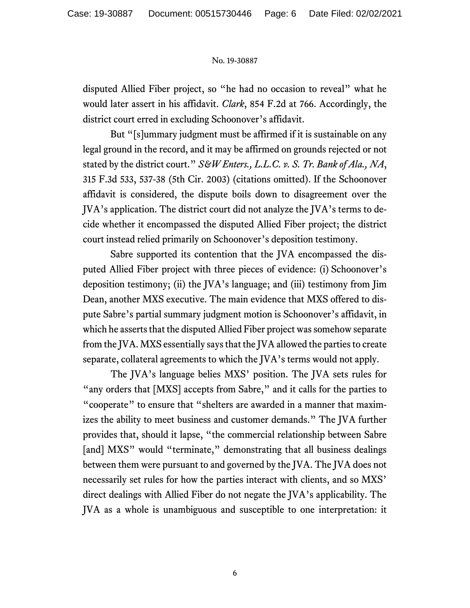disputed Allied Fiber project, so "he had no occasion to reveal" what he would later assert in his affidavit. *Clark*, 854 F.2d at 766. Accordingly, the district court erred in excluding Schoonover's affidavit.

But "[s]ummary judgment must be affirmed if it is sustainable on any legal ground in the record, and it may be affirmed on grounds rejected or not stated by the district court." *S&W Enters., L.L.C. v. S. Tr. Bank of Ala., NA*, 315 F.3d 533, 537-38 (5th Cir. 2003) (citations omitted). If the Schoonover affidavit is considered, the dispute boils down to disagreement over the JVA's application. The district court did not analyze the JVA's terms to decide whether it encompassed the disputed Allied Fiber project; the district court instead relied primarily on Schoonover's deposition testimony.

Sabre supported its contention that the JVA encompassed the disputed Allied Fiber project with three pieces of evidence: (i) Schoonover's deposition testimony; (ii) the JVA's language; and (iii) testimony from Jim Dean, another MXS executive. The main evidence that MXS offered to dispute Sabre's partial summary judgment motion is Schoonover's affidavit, in which he asserts that the disputed Allied Fiber project was somehow separate from the JVA. MXS essentially says that the JVA allowed the parties to create separate, collateral agreements to which the JVA's terms would not apply.

The JVA's language belies MXS' position. The JVA sets rules for "any orders that [MXS] accepts from Sabre," and it calls for the parties to "cooperate" to ensure that "shelters are awarded in a manner that maximizes the ability to meet business and customer demands." The JVA further provides that, should it lapse, "the commercial relationship between Sabre [and] MXS" would "terminate," demonstrating that all business dealings between them were pursuant to and governed by the JVA. The JVA does not necessarily set rules for how the parties interact with clients, and so MXS' direct dealings with Allied Fiber do not negate the JVA's applicability. The JVA as a whole is unambiguous and susceptible to one interpretation: it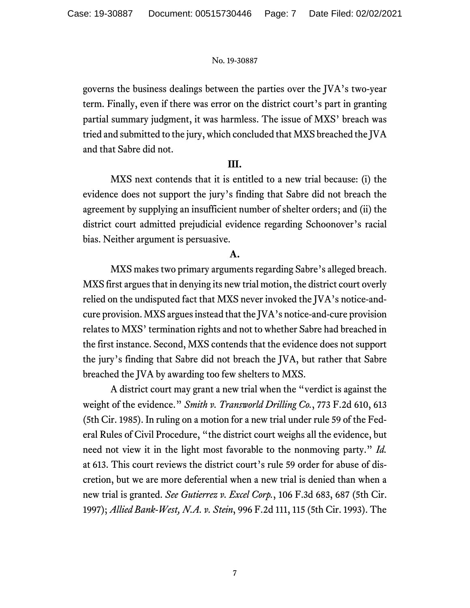governs the business dealings between the parties over the JVA's two-year term. Finally, even if there was error on the district court's part in granting partial summary judgment, it was harmless. The issue of MXS' breach was tried and submitted to the jury, which concluded that MXS breached the JVA and that Sabre did not.

# **III.**

MXS next contends that it is entitled to a new trial because: (i) the evidence does not support the jury's finding that Sabre did not breach the agreement by supplying an insufficient number of shelter orders; and (ii) the district court admitted prejudicial evidence regarding Schoonover's racial bias. Neither argument is persuasive.

# **A.**

MXS makes two primary arguments regarding Sabre's alleged breach. MXS first argues that in denying its new trial motion, the district court overly relied on the undisputed fact that MXS never invoked the JVA's notice-andcure provision. MXS argues instead that the JVA's notice-and-cure provision relates to MXS' termination rights and not to whether Sabre had breached in the first instance. Second, MXS contends that the evidence does not support the jury's finding that Sabre did not breach the JVA, but rather that Sabre breached the JVA by awarding too few shelters to MXS.

A district court may grant a new trial when the "verdict is against the weight of the evidence." *Smith v. Transworld Drilling Co.*, 773 F.2d 610, 613 (5th Cir. 1985). In ruling on a motion for a new trial under rule 59 of the Federal Rules of Civil Procedure, "the district court weighs all the evidence, but need not view it in the light most favorable to the nonmoving party." *Id.*  at 613. This court reviews the district court's rule 59 order for abuse of discretion, but we are more deferential when a new trial is denied than when a new trial is granted. *See Gutierrez v. Excel Corp.*, 106 F.3d 683, 687 (5th Cir. 1997); *Allied Bank-West, N.A. v. Stein*, 996 F.2d 111, 115 (5th Cir. 1993). The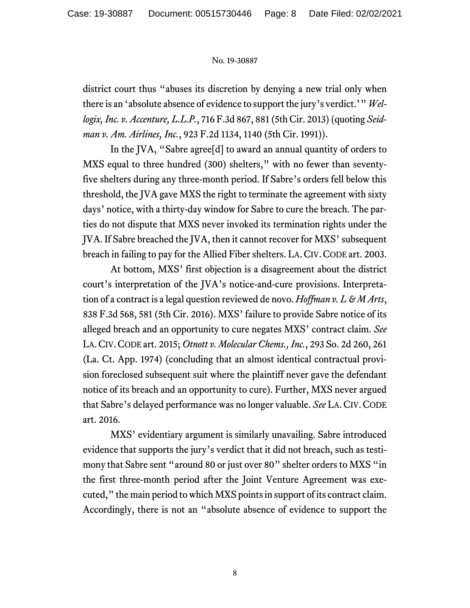district court thus "abuses its discretion by denying a new trial only when there is an 'absolute absence of evidence to support the jury's verdict.'" *Wellogix, Inc. v. Accenture, L.L.P.*, 716 F.3d 867, 881 (5th Cir. 2013) (quoting *Seidman v. Am. Airlines, Inc.*, 923 F.2d 1134, 1140 (5th Cir. 1991)).

In the JVA, "Sabre agree[d] to award an annual quantity of orders to MXS equal to three hundred (300) shelters," with no fewer than seventyfive shelters during any three-month period. If Sabre's orders fell below this threshold, the JVA gave MXS the right to terminate the agreement with sixty days' notice, with a thirty-day window for Sabre to cure the breach. The parties do not dispute that MXS never invoked its termination rights under the JVA. If Sabre breached the JVA, then it cannot recover for MXS' subsequent breach in failing to pay for the Allied Fiber shelters. LA.CIV.CODE art. 2003.

At bottom, MXS' first objection is a disagreement about the district court's interpretation of the JVA's notice-and-cure provisions. Interpretation of a contract is a legal question reviewed de novo. *Hoffman v. L & M Arts*, 838 F.3d 568, 581 (5th Cir. 2016). MXS' failure to provide Sabre notice of its alleged breach and an opportunity to cure negates MXS' contract claim. *See* LA.CIV.CODE art. 2015; *Otnott v. Molecular Chems., Inc.*, 293 So. 2d 260, 261 (La. Ct. App. 1974) (concluding that an almost identical contractual provision foreclosed subsequent suit where the plaintiff never gave the defendant notice of its breach and an opportunity to cure). Further, MXS never argued that Sabre's delayed performance was no longer valuable. *See* LA.CIV.CODE art. 2016.

MXS' evidentiary argument is similarly unavailing. Sabre introduced evidence that supports the jury's verdict that it did not breach, such as testimony that Sabre sent "around 80 or just over 80" shelter orders to MXS "in the first three-month period after the Joint Venture Agreement was executed," the main period to which MXS points in support of its contract claim. Accordingly, there is not an "absolute absence of evidence to support the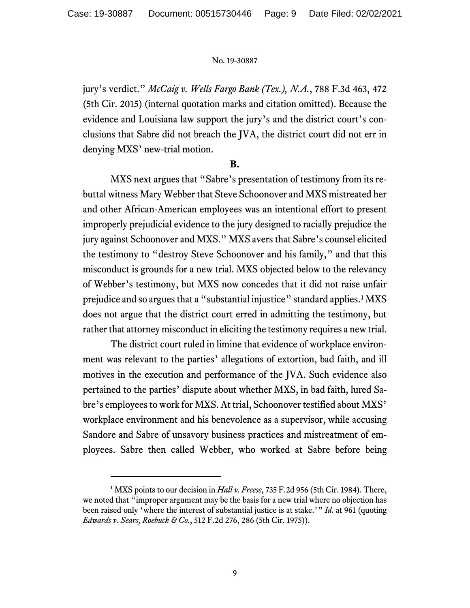jury's verdict." *McCaig v. Wells Fargo Bank (Tex.), N.A.*, 788 F.3d 463, 472 (5th Cir. 2015) (internal quotation marks and citation omitted). Because the evidence and Louisiana law support the jury's and the district court's conclusions that Sabre did not breach the JVA, the district court did not err in denying MXS' new-trial motion.

## **B.**

MXS next argues that "Sabre's presentation of testimony from its rebuttal witness Mary Webber that Steve Schoonover and MXS mistreated her and other African-American employees was an intentional effort to present improperly prejudicial evidence to the jury designed to racially prejudice the jury against Schoonover and MXS." MXS avers that Sabre's counsel elicited the testimony to "destroy Steve Schoonover and his family," and that this misconduct is grounds for a new trial. MXS objected below to the relevancy of Webber's testimony, but MXS now concedes that it did not raise unfair prejudice and so argues that a "substantial injustice" standard applies.<sup>[1](#page-8-0)</sup> MXS does not argue that the district court erred in admitting the testimony, but rather that attorney misconduct in eliciting the testimony requires a new trial.

The district court ruled in limine that evidence of workplace environment was relevant to the parties' allegations of extortion, bad faith, and ill motives in the execution and performance of the JVA. Such evidence also pertained to the parties' dispute about whether MXS, in bad faith, lured Sabre's employees to work for MXS. At trial, Schoonover testified about MXS' workplace environment and his benevolence as a supervisor, while accusing Sandore and Sabre of unsavory business practices and mistreatment of employees. Sabre then called Webber, who worked at Sabre before being

<span id="page-8-0"></span><sup>&</sup>lt;sup>1</sup> MXS points to our decision in *Hall v. Freese*, 735 F.2d 956 (5th Cir. 1984). There, we noted that "improper argument may be the basis for a new trial where no objection has been raised only 'where the interest of substantial justice is at stake.'" *Id.* at 961 (quoting *Edwards v. Sears, Roebuck & Co.*, 512 F.2d 276, 286 (5th Cir. 1975)).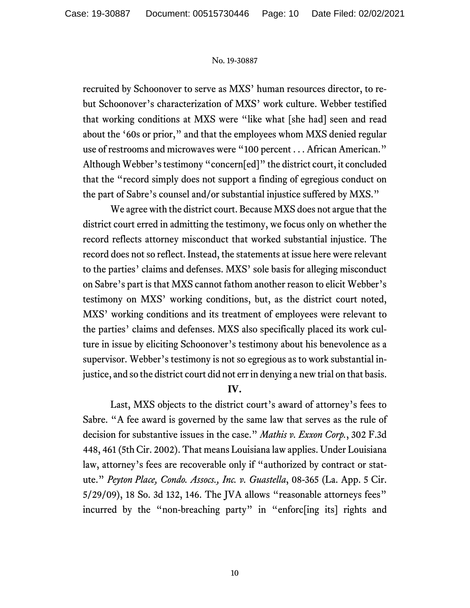recruited by Schoonover to serve as MXS' human resources director, to rebut Schoonover's characterization of MXS' work culture. Webber testified that working conditions at MXS were "like what [she had] seen and read about the '60s or prior," and that the employees whom MXS denied regular use of restrooms and microwaves were "100 percent . . . African American." Although Webber's testimony "concern[ed]" the district court, it concluded that the "record simply does not support a finding of egregious conduct on the part of Sabre's counsel and/or substantial injustice suffered by MXS."

We agree with the district court. Because MXS does not argue that the district court erred in admitting the testimony, we focus only on whether the record reflects attorney misconduct that worked substantial injustice. The record does not so reflect. Instead, the statements at issue here were relevant to the parties' claims and defenses. MXS' sole basis for alleging misconduct on Sabre's part is that MXS cannot fathom another reason to elicit Webber's testimony on MXS' working conditions, but, as the district court noted, MXS' working conditions and its treatment of employees were relevant to the parties' claims and defenses. MXS also specifically placed its work culture in issue by eliciting Schoonover's testimony about his benevolence as a supervisor. Webber's testimony is not so egregious as to work substantial injustice, and so the district court did not err in denying a new trial on that basis.

# **IV.**

Last, MXS objects to the district court's award of attorney's fees to Sabre. "A fee award is governed by the same law that serves as the rule of decision for substantive issues in the case." *Mathis v. Exxon Corp.*, 302 F.3d 448, 461 (5th Cir. 2002). That means Louisiana law applies. Under Louisiana law, attorney's fees are recoverable only if "authorized by contract or statute." *Peyton Place, Condo. Assocs., Inc. v. Guastella*, 08-365 (La. App. 5 Cir. 5/29/09), 18 So. 3d 132, 146. The JVA allows "reasonable attorneys fees" incurred by the "non-breaching party" in "enforc[ing its] rights and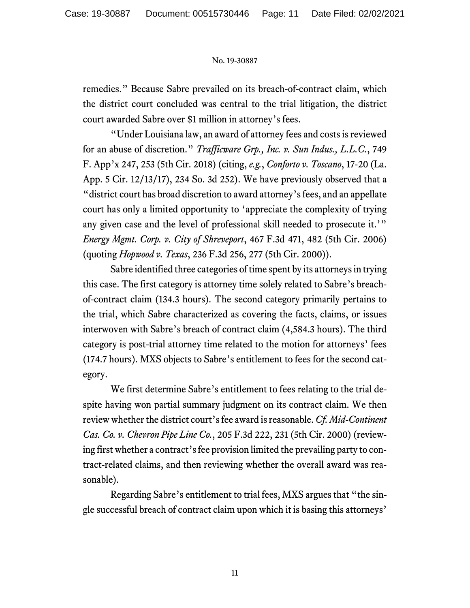remedies." Because Sabre prevailed on its breach-of-contract claim, which the district court concluded was central to the trial litigation, the district court awarded Sabre over \$1 million in attorney's fees.

"Under Louisiana law, an award of attorney fees and costs is reviewed for an abuse of discretion." *Trafficware Grp., Inc. v. Sun Indus., L.L.C.*, 749 F. App'x 247, 253 (5th Cir. 2018) (citing, *e.g.*, *Conforto v. Toscano*, 17-20 (La. App. 5 Cir. 12/13/17), 234 So. 3d 252). We have previously observed that a "district court has broad discretion to award attorney's fees, and an appellate court has only a limited opportunity to 'appreciate the complexity of trying any given case and the level of professional skill needed to prosecute it.'" *Energy Mgmt. Corp. v. City of Shreveport*, 467 F.3d 471, 482 (5th Cir. 2006) (quoting *Hopwood v. Texas*, 236 F.3d 256, 277 (5th Cir. 2000)).

Sabre identified three categories of time spent by its attorneys in trying this case. The first category is attorney time solely related to Sabre's breachof-contract claim (134.3 hours). The second category primarily pertains to the trial, which Sabre characterized as covering the facts, claims, or issues interwoven with Sabre's breach of contract claim (4,584.3 hours). The third category is post-trial attorney time related to the motion for attorneys' fees (174.7 hours). MXS objects to Sabre's entitlement to fees for the second category.

We first determine Sabre's entitlement to fees relating to the trial despite having won partial summary judgment on its contract claim. We then review whether the district court's fee award is reasonable. *Cf. Mid-Continent Cas. Co. v. Chevron Pipe Line Co.*, 205 F.3d 222, 231 (5th Cir. 2000) (reviewing first whether a contract's fee provision limited the prevailing party to contract-related claims, and then reviewing whether the overall award was reasonable).

Regarding Sabre's entitlement to trial fees, MXS argues that "the single successful breach of contract claim upon which it is basing this attorneys'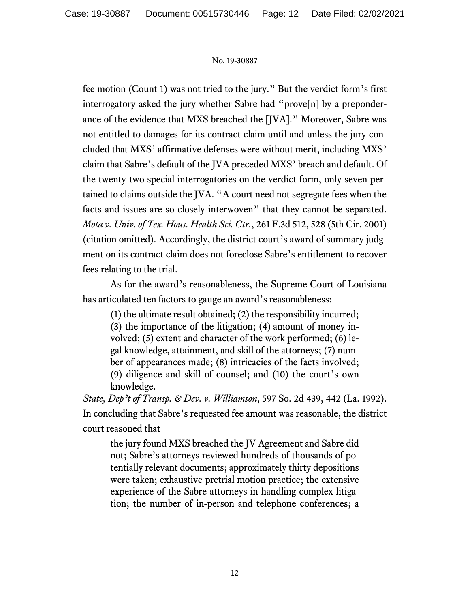fee motion (Count 1) was not tried to the jury." But the verdict form's first interrogatory asked the jury whether Sabre had "prove[n] by a preponderance of the evidence that MXS breached the [JVA]." Moreover, Sabre was not entitled to damages for its contract claim until and unless the jury concluded that MXS' affirmative defenses were without merit, including MXS' claim that Sabre's default of the JVA preceded MXS' breach and default. Of the twenty-two special interrogatories on the verdict form, only seven pertained to claims outside the JVA. "A court need not segregate fees when the facts and issues are so closely interwoven" that they cannot be separated. *Mota v. Univ. of Tex. Hous. Health Sci. Ctr.*, 261 F.3d 512, 528 (5th Cir. 2001) (citation omitted). Accordingly, the district court's award of summary judgment on its contract claim does not foreclose Sabre's entitlement to recover fees relating to the trial.

As for the award's reasonableness, the Supreme Court of Louisiana has articulated ten factors to gauge an award's reasonableness:

(1) the ultimate result obtained; (2) the responsibility incurred; (3) the importance of the litigation; (4) amount of money involved; (5) extent and character of the work performed; (6) legal knowledge, attainment, and skill of the attorneys; (7) number of appearances made; (8) intricacies of the facts involved; (9) diligence and skill of counsel; and (10) the court's own knowledge.

*State, Dep't of Transp. & Dev. v. Williamson*, 597 So. 2d 439, 442 (La. 1992). In concluding that Sabre's requested fee amount was reasonable, the district court reasoned that

the jury found MXS breached the JV Agreement and Sabre did not; Sabre's attorneys reviewed hundreds of thousands of potentially relevant documents; approximately thirty depositions were taken; exhaustive pretrial motion practice; the extensive experience of the Sabre attorneys in handling complex litigation; the number of in-person and telephone conferences; a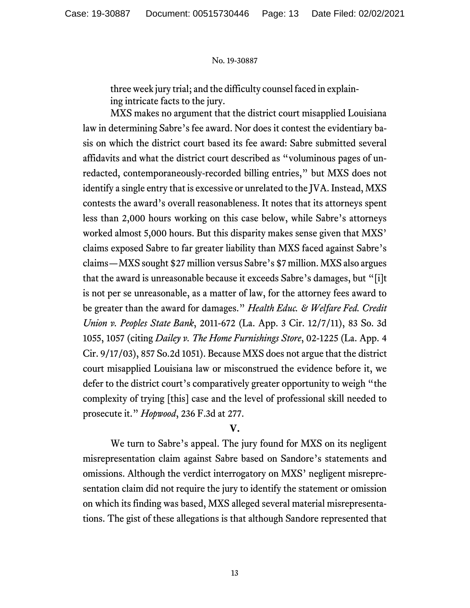three week jury trial; and the difficulty counsel faced in explaining intricate facts to the jury.

MXS makes no argument that the district court misapplied Louisiana law in determining Sabre's fee award. Nor does it contest the evidentiary basis on which the district court based its fee award: Sabre submitted several affidavits and what the district court described as "voluminous pages of unredacted, contemporaneously-recorded billing entries," but MXS does not identify a single entry that is excessive or unrelated to the JVA. Instead, MXS contests the award's overall reasonableness. It notes that its attorneys spent less than 2,000 hours working on this case below, while Sabre's attorneys worked almost 5,000 hours. But this disparity makes sense given that MXS' claims exposed Sabre to far greater liability than MXS faced against Sabre's claims—MXS sought \$27 million versus Sabre's \$7 million. MXS also argues that the award is unreasonable because it exceeds Sabre's damages, but "[i]t is not per se unreasonable, as a matter of law, for the attorney fees award to be greater than the award for damages." *Health Educ. & Welfare Fed. Credit Union v. Peoples State Bank*, 2011-672 (La. App. 3 Cir. 12/7/11), 83 So. 3d 1055, 1057 (citing *Dailey v. The Home Furnishings Store*, 02-1225 (La. App. 4 Cir. 9/17/03), 857 So.2d 1051). Because MXS does not argue that the district court misapplied Louisiana law or misconstrued the evidence before it, we defer to the district court's comparatively greater opportunity to weigh "the complexity of trying [this] case and the level of professional skill needed to prosecute it." *Hopwood*, 236 F.3d at 277.

# **V.**

We turn to Sabre's appeal. The jury found for MXS on its negligent misrepresentation claim against Sabre based on Sandore's statements and omissions. Although the verdict interrogatory on MXS' negligent misrepresentation claim did not require the jury to identify the statement or omission on which its finding was based, MXS alleged several material misrepresentations. The gist of these allegations is that although Sandore represented that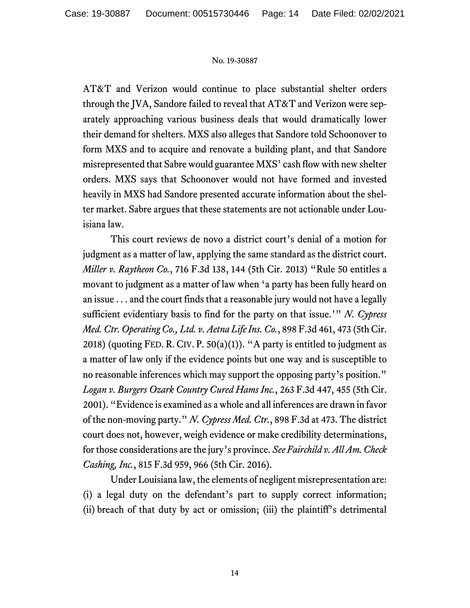AT&T and Verizon would continue to place substantial shelter orders through the JVA, Sandore failed to reveal that AT&T and Verizon were separately approaching various business deals that would dramatically lower their demand for shelters. MXS also alleges that Sandore told Schoonover to form MXS and to acquire and renovate a building plant, and that Sandore misrepresented that Sabre would guarantee MXS' cash flow with new shelter orders. MXS says that Schoonover would not have formed and invested heavily in MXS had Sandore presented accurate information about the shelter market. Sabre argues that these statements are not actionable under Louisiana law.

This court reviews de novo a district court's denial of a motion for judgment as a matter of law, applying the same standard as the district court. *Miller v. Raytheon Co.*, 716 F.3d 138, 144 (5th Cir. 2013) "Rule 50 entitles a movant to judgment as a matter of law when 'a party has been fully heard on an issue . . . and the court finds that a reasonable jury would not have a legally sufficient evidentiary basis to find for the party on that issue.'" *N. Cypress Med. Ctr. Operating Co., Ltd. v. Aetna Life Ins. Co.*, 898 F.3d 461, 473 (5th Cir. 2018) (quoting FED. R. CIV. P.  $50(a)(1)$ ). "A party is entitled to judgment as a matter of law only if the evidence points but one way and is susceptible to no reasonable inferences which may support the opposing party's position." *Logan v. Burgers Ozark Country Cured Hams Inc.*, 263 F.3d 447, 455 (5th Cir. 2001). "Evidence is examined as a whole and all inferences are drawn in favor of the non-moving party." *N. Cypress Med. Ctr.*, 898 F.3d at 473. The district court does not, however, weigh evidence or make credibility determinations, for those considerations are the jury's province. *See Fairchild v. All Am. Check Cashing, Inc.*, 815 F.3d 959, 966 (5th Cir. 2016).

Under Louisiana law, the elements of negligent misrepresentation are: (i) a legal duty on the defendant's part to supply correct information; (ii) breach of that duty by act or omission; (iii) the plaintiff's detrimental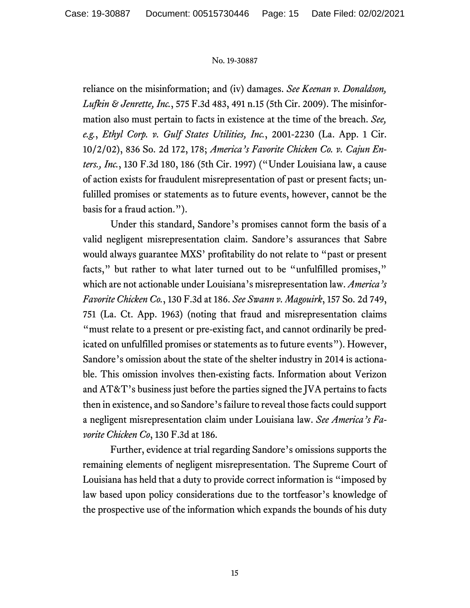reliance on the misinformation; and (iv) damages. *See Keenan v. Donaldson, Lufkin & Jenrette, Inc.*, 575 F.3d 483, 491 n.15 (5th Cir. 2009). The misinformation also must pertain to facts in existence at the time of the breach. *See, e.g.*, *Ethyl Corp. v. Gulf States Utilities, Inc.*, 2001-2230 (La. App. 1 Cir. 10/2/02), 836 So. 2d 172, 178; *America's Favorite Chicken Co. v. Cajun Enters., Inc.*, 130 F.3d 180, 186 (5th Cir. 1997) ("Under Louisiana law, a cause of action exists for fraudulent misrepresentation of past or present facts; unfulilled promises or statements as to future events, however, cannot be the basis for a fraud action.").

Under this standard, Sandore's promises cannot form the basis of a valid negligent misrepresentation claim. Sandore's assurances that Sabre would always guarantee MXS' profitability do not relate to "past or present facts," but rather to what later turned out to be "unfulfilled promises," which are not actionable under Louisiana's misrepresentation law. *America's Favorite Chicken Co.*, 130 F.3d at 186. *See Swann v. Magouirk*, 157 So. 2d 749, 751 (La. Ct. App. 1963) (noting that fraud and misrepresentation claims "must relate to a present or pre-existing fact, and cannot ordinarily be predicated on unfulfilled promises or statements as to future events"). However, Sandore's omission about the state of the shelter industry in 2014 is actionable. This omission involves then-existing facts. Information about Verizon and AT&T's business just before the parties signed the JVA pertains to facts then in existence, and so Sandore's failure to reveal those facts could support a negligent misrepresentation claim under Louisiana law. *See America's Favorite Chicken Co*, 130 F.3d at 186.

Further, evidence at trial regarding Sandore's omissions supports the remaining elements of negligent misrepresentation. The Supreme Court of Louisiana has held that a duty to provide correct information is "imposed by law based upon policy considerations due to the tortfeasor's knowledge of the prospective use of the information which expands the bounds of his duty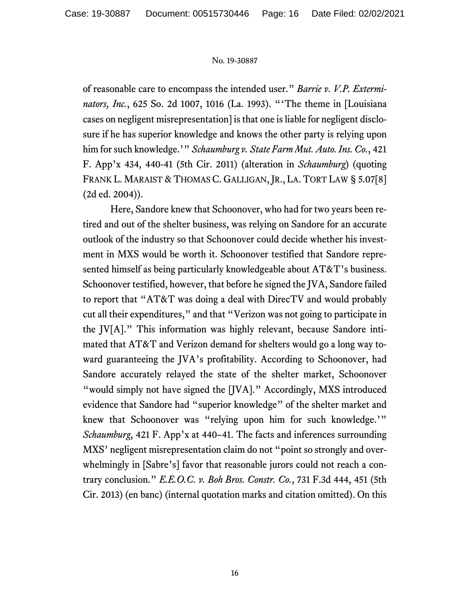of reasonable care to encompass the intended user." *Barrie v. V.P. Exterminators, Inc.*, 625 So. 2d 1007, 1016 (La. 1993). "'The theme in [Louisiana cases on negligent misrepresentation] is that one is liable for negligent disclosure if he has superior knowledge and knows the other party is relying upon him for such knowledge.'" *Schaumburg v. State Farm Mut. Auto. Ins. Co.*, 421 F. App'x 434, 440-41 (5th Cir. 2011) (alteration in *Schaumburg*) (quoting FRANK L. MARAIST & THOMAS C. GALLIGAN, JR., LA. TORT LAW § 5.07[8] (2d ed. 2004)).

Here, Sandore knew that Schoonover, who had for two years been retired and out of the shelter business, was relying on Sandore for an accurate outlook of the industry so that Schoonover could decide whether his investment in MXS would be worth it. Schoonover testified that Sandore represented himself as being particularly knowledgeable about AT&T's business. Schoonover testified, however, that before he signed the JVA, Sandore failed to report that "AT&T was doing a deal with DirecTV and would probably cut all their expenditures," and that "Verizon was not going to participate in the JV[A]." This information was highly relevant, because Sandore intimated that AT&T and Verizon demand for shelters would go a long way toward guaranteeing the JVA's profitability. According to Schoonover, had Sandore accurately relayed the state of the shelter market, Schoonover "would simply not have signed the [JVA]." Accordingly, MXS introduced evidence that Sandore had "superior knowledge" of the shelter market and knew that Schoonover was "relying upon him for such knowledge.'" *Schaumburg*, 421 F. App'x at 440–41. The facts and inferences surrounding MXS' negligent misrepresentation claim do not "point so strongly and overwhelmingly in [Sabre's] favor that reasonable jurors could not reach a contrary conclusion." *E.E.O.C. v. Boh Bros. Constr. Co.*, 731 F.3d 444, 451 (5th Cir. 2013) (en banc) (internal quotation marks and citation omitted). On this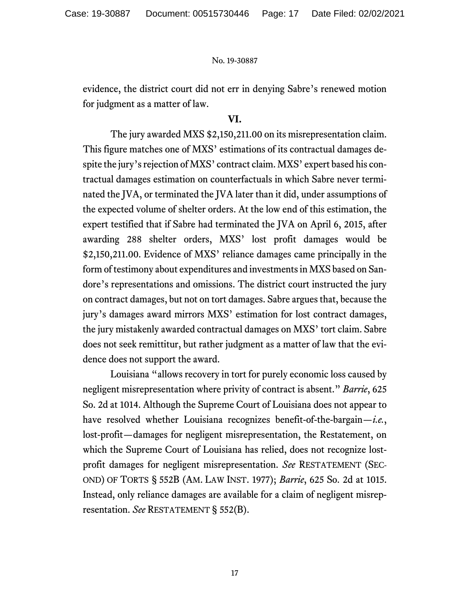evidence, the district court did not err in denying Sabre's renewed motion for judgment as a matter of law.

# **VI.**

The jury awarded MXS \$2,150,211.00 on its misrepresentation claim. This figure matches one of MXS' estimations of its contractual damages despite the jury's rejection of MXS' contract claim. MXS' expert based his contractual damages estimation on counterfactuals in which Sabre never terminated the JVA, or terminated the JVA later than it did, under assumptions of the expected volume of shelter orders. At the low end of this estimation, the expert testified that if Sabre had terminated the JVA on April 6, 2015, after awarding 288 shelter orders, MXS' lost profit damages would be \$2,150,211.00. Evidence of MXS' reliance damages came principally in the form of testimony about expenditures and investments in MXS based on Sandore's representations and omissions. The district court instructed the jury on contract damages, but not on tort damages. Sabre argues that, because the jury's damages award mirrors MXS' estimation for lost contract damages, the jury mistakenly awarded contractual damages on MXS' tort claim. Sabre does not seek remittitur, but rather judgment as a matter of law that the evidence does not support the award.

Louisiana "allows recovery in tort for purely economic loss caused by negligent misrepresentation where privity of contract is absent." *Barrie*, 625 So. 2d at 1014. Although the Supreme Court of Louisiana does not appear to have resolved whether Louisiana recognizes benefit-of-the-bargain—*i.e.*, lost-profit—damages for negligent misrepresentation, the Restatement, on which the Supreme Court of Louisiana has relied, does not recognize lostprofit damages for negligent misrepresentation. *See* RESTATEMENT (SEC-OND) OF TORTS § 552B (AM. LAW INST. 1977); *Barrie*, 625 So. 2d at 1015. Instead, only reliance damages are available for a claim of negligent misrepresentation. *See* RESTATEMENT § 552(B).